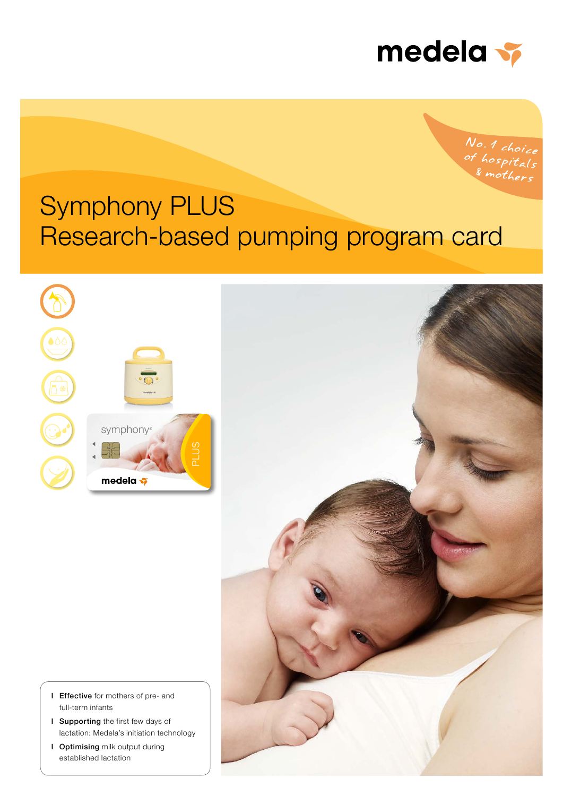

No.1 choice<br>of hospitals<br>& mothers

# Symphony PLUS Research-based pumping program card





- I Effective for mothers of pre- and full-term infants
- I Supporting the first few days of lactation: Medela's initiation technology
- I Optimising milk output during established lactation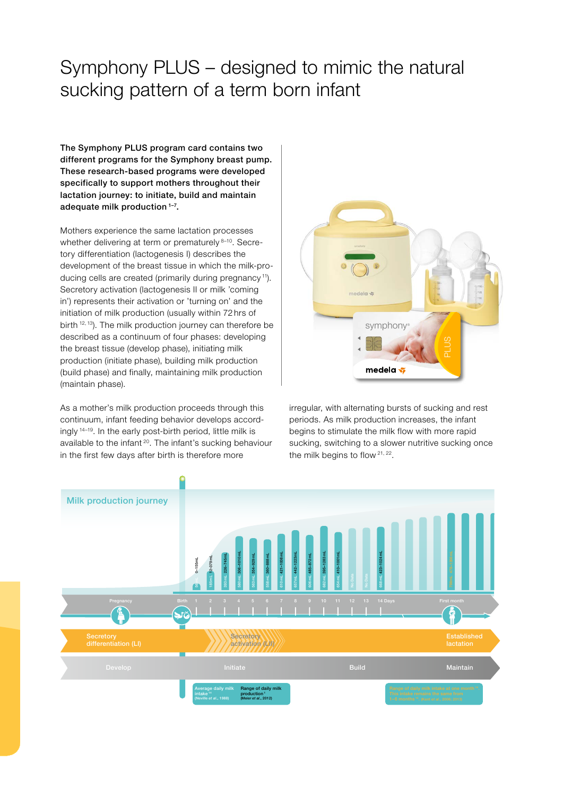# Symphony PLUS – designed to mimic the natural sucking pattern of a term born infant

The Symphony PLUS program card contains two different programs for the Symphony breast pump. These research-based programs were developed specifically to support mothers throughout their lactation journey: to initiate, build and maintain adequate milk production 1–7.

Mothers experience the same lactation processes whether delivering at term or prematurely 8-10. Secretory differentiation (lactogenesis I) describes the development of the breast tissue in which the milk-producing cells are created (primarily during pregnancy<sup>11</sup>). Secretory activation (lactogenesis II or milk 'coming in') represents their activation or 'turning on' and the initiation of milk production (usually within 72 hrs of birth <sup>12, 13</sup>). The milk production journey can therefore be described as a continuum of four phases: developing the breast tissue (develop phase), initiating milk production (initiate phase), building milk production (build phase) and finally, maintaining milk production (maintain phase).

As a mother's milk production proceeds through this continuum, infant feeding behavior develops accordingly 14–19. In the early post-birth period, little milk is available to the infant<sup>20</sup>. The infant's sucking behaviour in the first few days after birth is therefore more



irregular, with alternating bursts of sucking and rest periods. As milk production increases, the infant begins to stimulate the milk flow with more rapid sucking, switching to a slower nutritive sucking once the milk begins to flow  $21, 22$ .

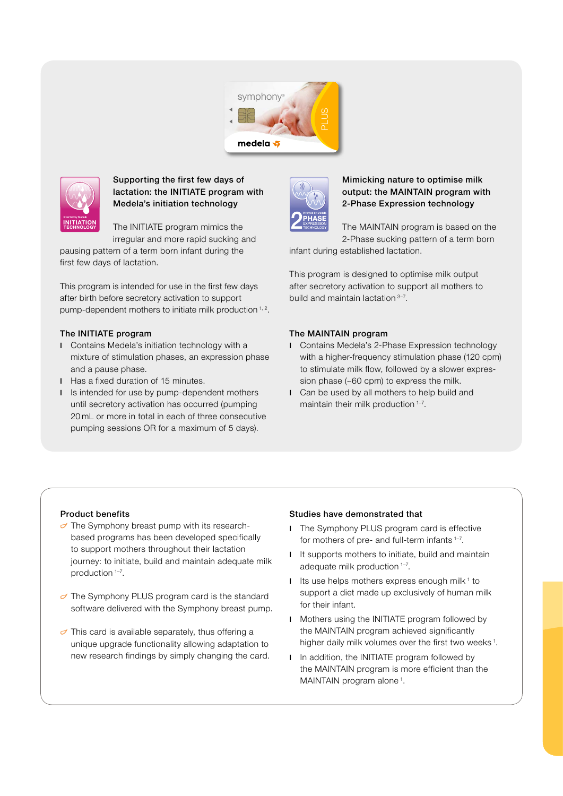



## Supporting the first few days of lactation: the INITIATE program with Medela's initiation technology

The INITIATE program mimics the irregular and more rapid sucking and

pausing pattern of a term born infant during the first few days of lactation.

This program is intended for use in the first few days after birth before secretory activation to support pump-dependent mothers to initiate milk production<sup>1,2</sup>.

#### The INITIATE program

- I Contains Medela's initiation technology with a mixture of stimulation phases, an expression phase and a pause phase.
- I Has a fixed duration of 15 minutes.
- I Is intended for use by pump-dependent mothers until secretory activation has occurred (pumping 20 mL or more in total in each of three consecutive pumping sessions OR for a maximum of 5 days).



### Mimicking nature to optimise milk output: the MAINTAIN program with 2-Phase Expression technology

The MAINTAIN program is based on the 2-Phase sucking pattern of a term born

infant during established lactation. r

This program is designed to optimise milk output after secretory activation to support all mothers to build and maintain lactation 3–7.

#### The MAINTAIN program

- I Contains Medela's 2-Phase Expression technology with a higher-frequency stimulation phase (120 cpm) to stimulate milk flow, followed by a slower expression phase (~60 cpm) to express the milk.  $\ddot{\epsilon}$
- I Can be used by all mothers to help build and maintain their milk production<sup>1-7</sup>.

#### Product benefits

- $\sigma$  The Symphony breast pump with its researchbased programs has been developed specifically to support mothers throughout their lactation journey: to initiate, build and maintain adequate milk production 1–7.
- $\sigma$  The Symphony PLUS program card is the standard software delivered with the Symphony breast pump.
- $\sigma$  This card is available separately, thus offering a unique upgrade functionality allowing adaptation to new research findings by simply changing the card.

#### Studies have demonstrated that

- I The Symphony PLUS program card is effective for mothers of pre- and full-term infants <sup>1-7</sup>.
- I It supports mothers to initiate, build and maintain adequate milk production 1–7.
- I Its use helps mothers express enough milk<sup> $1$ </sup> to support a diet made up exclusively of human milk for their infant.
- I Mothers using the INITIATE program followed by the MAINTAIN program achieved significantly higher daily milk volumes over the first two weeks<sup>1</sup>.
- I In addition, the INITIATE program followed by the MAINTAIN program is more efficient than the MAINTAIN program alone<sup>1</sup>.